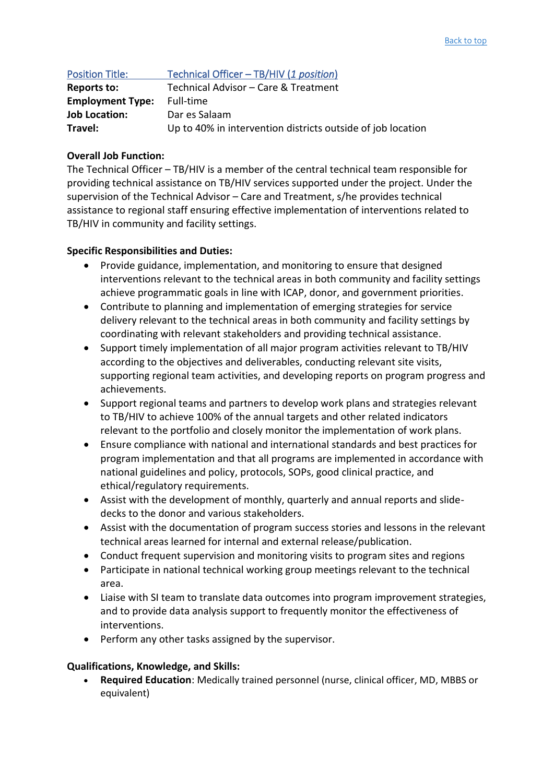| <b>Position Title:</b>  | Technical Officer - TB/HIV (1 position)                     |
|-------------------------|-------------------------------------------------------------|
| <b>Reports to:</b>      | Technical Advisor - Care & Treatment                        |
| <b>Employment Type:</b> | Full-time                                                   |
| <b>Job Location:</b>    | Dar es Salaam                                               |
| Travel:                 | Up to 40% in intervention districts outside of job location |

## **Overall Job Function:**

The Technical Officer – TB/HIV is a member of the central technical team responsible for providing technical assistance on TB/HIV services supported under the project. Under the supervision of the Technical Advisor – Care and Treatment, s/he provides technical assistance to regional staff ensuring effective implementation of interventions related to TB/HIV in community and facility settings.

## **Specific Responsibilities and Duties:**

- Provide guidance, implementation, and monitoring to ensure that designed interventions relevant to the technical areas in both community and facility settings achieve programmatic goals in line with ICAP, donor, and government priorities.
- Contribute to planning and implementation of emerging strategies for service delivery relevant to the technical areas in both community and facility settings by coordinating with relevant stakeholders and providing technical assistance.
- Support timely implementation of all major program activities relevant to TB/HIV according to the objectives and deliverables, conducting relevant site visits, supporting regional team activities, and developing reports on program progress and achievements.
- Support regional teams and partners to develop work plans and strategies relevant to TB/HIV to achieve 100% of the annual targets and other related indicators relevant to the portfolio and closely monitor the implementation of work plans.
- Ensure compliance with national and international standards and best practices for program implementation and that all programs are implemented in accordance with national guidelines and policy, protocols, SOPs, good clinical practice, and ethical/regulatory requirements.
- Assist with the development of monthly, quarterly and annual reports and slidedecks to the donor and various stakeholders.
- Assist with the documentation of program success stories and lessons in the relevant technical areas learned for internal and external release/publication.
- Conduct frequent supervision and monitoring visits to program sites and regions
- Participate in national technical working group meetings relevant to the technical area.
- Liaise with SI team to translate data outcomes into program improvement strategies, and to provide data analysis support to frequently monitor the effectiveness of interventions.
- Perform any other tasks assigned by the supervisor.

## **Qualifications, Knowledge, and Skills:**

• **Required Education**: Medically trained personnel (nurse, clinical officer, MD, MBBS or equivalent)